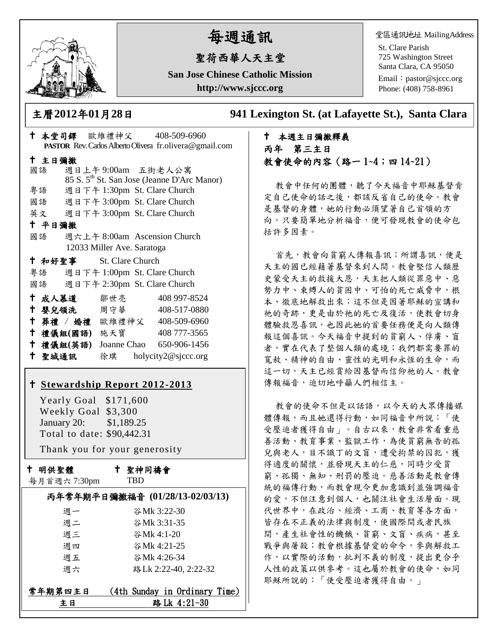

# 每週通訊

# 聖荷西華人天主堂

**San Jose Chinese Catholic Mission http://www.sjccc.org**

堂區通訊地址 MailingAddress

St. Clare Parish 725 Washington Street Santa Clara, CA 95050

Email: [pastor@sjccc.org](mailto:pastor@sjccc.org) Phone: (408) 758-8961

主曆**2012**年**01**月**28**日 **941 Lexington St. (at Lafayette St.), Santa Clara** 

# 本週主日彌撒釋義 丙年 第三主日 教會使命的內容(路一 1~4;四 14~21)

教會中任何的團體,聽了今天福音中耶穌基督肯 定自己使命的話之後,都該反省自己的使命。教會 是基督的身體,她的行動必須望著自己首領的方 向。只要簡單地分析福音,便可發現教會的使命包 括許多因素。

首先,教會向貧窮人傳報喜訊;所謂喜訊,便是 天主的國已經藉著基督來到人間。教會堅信人類歷 史蒙受天主的救援大恩,天主把人類從罪惡中、惡 勢力中、束縛人的貧困中、可怕的死亡威脅中,根 本、徹底地解救出來;這不但是因著耶穌的宣講和 祂的奇跡,更是由於祂的死亡及復活,使教會切身 體驗救恩喜訊,也因此她的首要任務便是向人類傳 報這個喜訊。今天福音中提到的貧窮人、俘虜、盲 者,實在代表了整個人類的處境;我們都需要罪的 寬赦、精神的自由、靈性的光明和永恆的生命,而 這一切,天主已經賞給因基督而信仰祂的人。教會 傳報福音,迫切地呼籲人們相信主。

教會的使命不但是以話語,以今天的大眾傳播媒 體傳報,而且她還得行動,如同福音中所說:「使 受壓迫者獲得自由」。自古以來,教會非常看重慈 善活動、教育事業、監獄工作,為使貧窮無告的孤 兒與老人,目不識丁的文盲,遭受拘禁的囚犯,獲 得適度的關懷,並發現天主的仁慈,同時少受貧 窮、孤獨、無知、刑罰的壓迫。慈善活動是教會傳 統的福傳行動,而教會現今更加意識到並強調福音 的愛,不但注意到個人,也關注社會生活層面。現 代世界中,在政治、經濟、工商、教育等各方面, 皆存在不正義的法律與制度,使國際間或者民族 間,產生社會性的饑餓、貧窮、文盲、疾病,其至 戰爭與屠殺;教會根據基督愛的命令,參與解救工 作,以實際的活動,批判不義的制度,提出更合乎 人性的政策以供參考。這也屬於教會的使命,如同 耶穌所說的:「使受壓迫者獲得自由。」

| PASTOR Rev. Carlos Alberto Olivera fr.olivera@gmail.com |                         |  |                                                         |  |
|---------------------------------------------------------|-------------------------|--|---------------------------------------------------------|--|
| 十 主日彌撒                                                  |                         |  |                                                         |  |
| 國語                                                      |                         |  | 週日上午9:00am 五街老人公寓                                       |  |
|                                                         |                         |  | 85 S. 5 <sup>th</sup> St. San Jose (Jeanne D'Arc Manor) |  |
|                                                         | 粤語                      |  | 週日下午 1:30pm St. Clare Church                            |  |
|                                                         |                         |  | 國語 週日下午 3:00pm St. Clare Church                         |  |
|                                                         |                         |  | 英文 週日下午 3:00pm St. Clare Church                         |  |
| 十 平日彌撒                                                  |                         |  |                                                         |  |
| 國語                                                      |                         |  | 週六上午 8:00am Ascension Church                            |  |
|                                                         |                         |  | 12033 Miller Ave. Saratoga                              |  |
|                                                         | † 和好聖事 St. Clare Church |  |                                                         |  |
|                                                         |                         |  | 粤語 週日下午 1:00pm St. Clare Church                         |  |
|                                                         |                         |  | 國語 週日下午 2:30pm St. Clare Church                         |  |
|                                                         | † 成人慕道   鄒世亮──          |  | 408 997-8524                                            |  |
|                                                         | ← 嬰兒領洗 周守華              |  | 408-517-0880                                            |  |
|                                                         |                         |  | † 葬禮 / 婚禮 歐維禮神父 408-509-6960                            |  |
|                                                         | 十 禮儀組(國語) 施天寶           |  | 408 777-3565                                            |  |
|                                                         | 十 禮儀組(英語)               |  | Joanne Chao 650-906-1456                                |  |
|                                                         | 十 聖城通訊                  |  | 徐琪 holycity2@sjccc.org                                  |  |

本堂司鐸 歐維禮神父 408-509-6960

## **[Stewardship Report 2012-2013](http://sjccc.org/index.php/finance.html?src=bulletin112512)**

 Yearly Goal \$171,600 Weekly Goal \$3,300 January 20: \$1,189.25 Total to date: \$90,442.31

Thank you for your generosity

十 明供聖體 每月首週六 7:30pm  聖神同禱會 **TRD** 

| <b>み月 目 セントルの中山</b> | .                               |
|---------------------|---------------------------------|
|                     | 丙年常年期平日彌撒福音 (01/28/13-02/03/13) |
| 週一                  | 谷Mk 3:22-30                     |
| 週二                  | 谷Mk 3:31-35                     |
| 週三                  | 谷Mk 4:1-20                      |
| 週四                  | 谷Mk 4:21-25                     |
| 週五                  | 谷Mk 4:26-34                     |
| 週六                  | 路 Lk 2:22-40, 2:22-32           |
|                     |                                 |
| 常年期第四主日             | (4th Sunday in Ordinary Time)   |
| 主日                  | 路 Lk 4:21-30                    |
|                     |                                 |